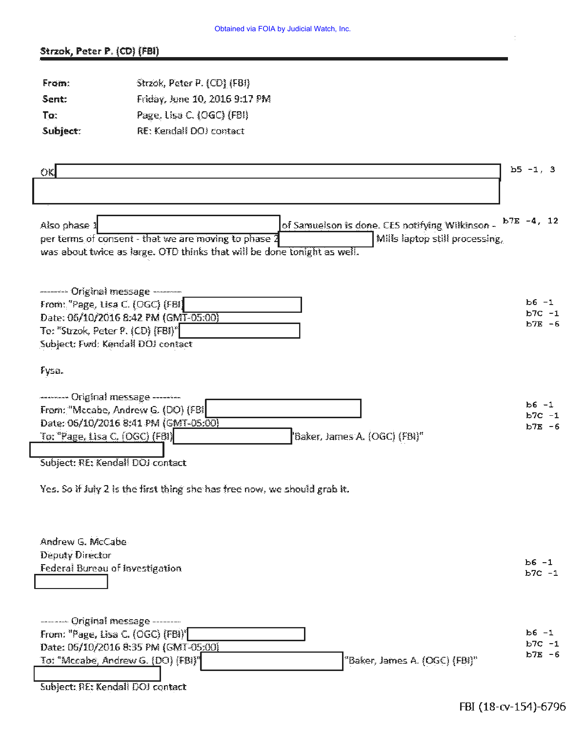## Strzok, Peter P. (CD) (FBI)

| From:    | Strzok, Peter P. (CD) (FBI)   |
|----------|-------------------------------|
| Sent:    | Friday, June 10, 2016 9:17 PM |
| To:      | Page, Lisa C. (OGC) (FBI)     |
| Subject: | RE: Kendall DOJ contact       |

| OK                                                                                                                                                                                                                                                                                                   | $b5 - 1, 3$                        |
|------------------------------------------------------------------------------------------------------------------------------------------------------------------------------------------------------------------------------------------------------------------------------------------------------|------------------------------------|
|                                                                                                                                                                                                                                                                                                      |                                    |
| of Samuelson is done. CES notifying Wilkinson -<br>Also phase 1<br>per terms of consent - that we are moving to phase 2<br>Mills laptop still processing.<br>was about twice as large. OTD thinks that will be done tonight as well.                                                                 | $b7E -4, 12$                       |
| -------- Original message --------<br>From: "Page, Lisa C. (OGC) (FBI)<br>Date: 06/10/2016 8:42 PM (GMT-05:00)<br>To: "Strzok, Peter P. (CD) [FBI]"<br>Subject: Fwd: Kendall DOI contact                                                                                                             | $b6 - 1$<br>$b7C - 1$<br>$b7E - 6$ |
| Fysa.                                                                                                                                                                                                                                                                                                |                                    |
| -------- Original message --------<br>From: "Mccabe, Andrew G. (DO) (FBI<br>Date: 06/10/2016 8:41 PM (GMT-05:00)<br>'Baker, James A. (OGC) (FBI)"<br>To: "Page, Lisa C. (OGC) (FBI)<br>Subject: RE: Kendall DOJ contact<br>Yes. So if July 2 is the first thing she has free now, we should grab it. | $b6 - 1$<br>$b7C - 1$<br>$b7E - 6$ |
| Andrew G. McCabe<br>Deputy Director<br>Federal Bureau of Investigation                                                                                                                                                                                                                               | $b6 - 1$<br>$b7C - 1$              |
| -------- Original message --------<br>From: "Page, Lisa C. (OGC) [FBI)"                                                                                                                                                                                                                              | $b6 - 1$                           |
| Date: 06/10/2016 8:35 PM (GMT-05:00)<br>To: "Mccabe, Andrew G. (DO) [FBI]"<br>"Baker, James A. (OGC) (FBI)"<br>Subject: RE: Kendall DOJ contact                                                                                                                                                      | $b7C - 1$<br>$b7E - 6$             |

 $\frac{1}{2}$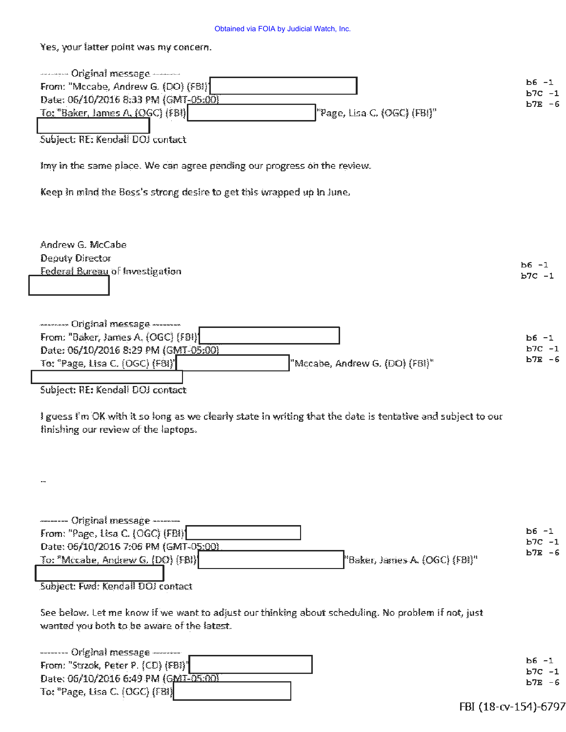## Obtained via FOIA by Judicial Watch, Inc.

Yes, your latter point was my concern.

 $\lceil$ 

| -------- Original message --------                                                                          |                        |
|-------------------------------------------------------------------------------------------------------------|------------------------|
| From: "Mccabe, Andrew G. (DO) (FBI)                                                                         | $b6 - 1$               |
| Date: 06/10/2016 8:33 PM (GMT-05:00)                                                                        | $b7C - 1$<br>$b7E - 6$ |
| "Page, Lisa C. (OGC) (FBI)"<br><u>To: "Baker, James A. (OGC)</u> (FBI)                                      |                        |
|                                                                                                             |                        |
| Subject: RE: Kendall DOJ contact                                                                            |                        |
|                                                                                                             |                        |
| Imy in the same place. We can agree pending our progress on the review.                                     |                        |
|                                                                                                             |                        |
| Keep in mind the Boss's strong desire to get this wrapped up in lune.                                       |                        |
|                                                                                                             |                        |
|                                                                                                             |                        |
|                                                                                                             |                        |
|                                                                                                             |                        |
| Andrew G. McCabe                                                                                            |                        |
| Deputy Director                                                                                             | $b6 -1$                |
| Federal Bureau of Investigation                                                                             | $b7C - 1$              |
|                                                                                                             |                        |
|                                                                                                             |                        |
|                                                                                                             |                        |
| -------- Original message -------                                                                           |                        |
| From: "Baker, James A. (OGC) (FBI)                                                                          | $b6 - 1$               |
| Date: 06/10/2016 8:29 PM (GMT-05:00)                                                                        | $b7C -1$               |
| "Mccabe, Andrew G. (DO) (FBI)"<br>To: "Page, Lisa C. (OGC) (F81)"                                           | $b7E - 6$              |
|                                                                                                             |                        |
| Subject: RE: Kendall DOJ contact                                                                            |                        |
|                                                                                                             |                        |
| I guess I'm OK with it so long as we clearly state in writing that the date is tentative and subject to our |                        |
| finishing our review of the laptops.                                                                        |                        |
|                                                                                                             |                        |
|                                                                                                             |                        |
|                                                                                                             |                        |
|                                                                                                             |                        |
|                                                                                                             |                        |
|                                                                                                             |                        |
|                                                                                                             |                        |
| -------- Original message --------                                                                          | Ь6 −1                  |
| From: "Page, Lisa C. (OGC) (FBI)                                                                            | ь7с -1                 |
| Date: 06/10/2016 7:06 PM (GMT-05:00)                                                                        | b7E -6                 |
| To: "Mccabe, Andrew G. (DO) (FBI)<br>"Baker, James A. (OGC) (FBI)"                                          |                        |
|                                                                                                             |                        |
| Subject: Fwd: Kendall DOJ contact                                                                           |                        |
|                                                                                                             |                        |
| See below. Let me know if we want to adjust our thinking about scheduling. No problem if not, just          |                        |
| wanted you both to be aware of the latest.                                                                  |                        |
|                                                                                                             |                        |
| ------- Original message --------                                                                           |                        |
| From: "Strzok, Peter P. (CD) (FBI)"                                                                         | Ь6 -1                  |
| Date: 06/10/2016 6:49 PM (GMT-05:30)                                                                        | ь7с -1                 |
| To: "Page, Lisa C. (OGC) (FBI)                                                                              | b7E -6                 |
|                                                                                                             |                        |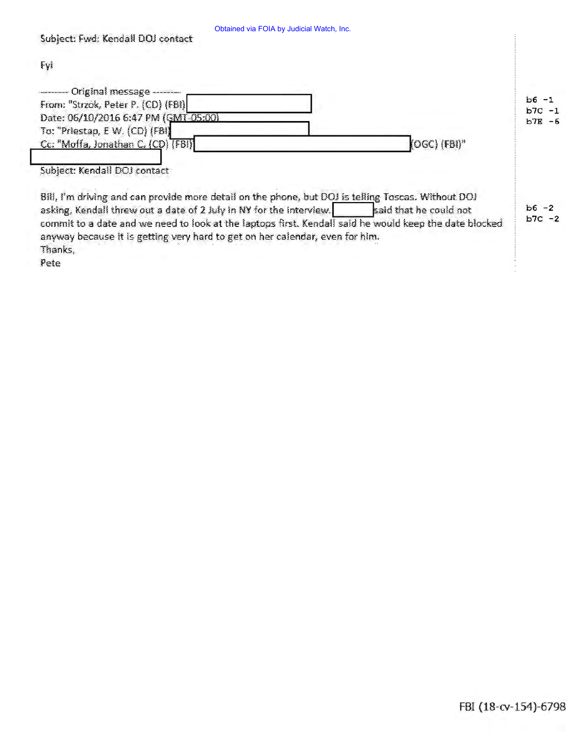| Obtained via FOIA by Judicial Watch, Inc |  |  |  |  |
|------------------------------------------|--|--|--|--|
|------------------------------------------|--|--|--|--|

commit to a date and we need to look at the laptops first. Kendall said he would keep the date blocked

anyway because it is getting very hard to get on her calendar, even for him.

| Fyl                                                                                                |           |
|----------------------------------------------------------------------------------------------------|-----------|
| - Original message ------                                                                          | $b6 - 1$  |
| From: "Strzok, Peter P. (CD) (FBI)                                                                 | $b7C -1$  |
| Date: 06/10/2016 6:47 PM (GMT-05:00)<br>To: "Priestap, E W. (CD) (FBI)                             | $b7E - 6$ |
| (OGC) (FBI)"<br>Cc: "Moffa, Jonathan C. (CD) (FBI)                                                 |           |
| Subject: Kendall DOJ contact                                                                       |           |
| Bill, I'm driving and can provide more detail on the phone, but DOJ is telling Toscas. Without DOJ | $b6 - 2$  |
| asking, Kendall threw out a date of 2 July in NY for the interview.<br>said that he could not      |           |

 $b7C - 2$ 

Thanks, Pete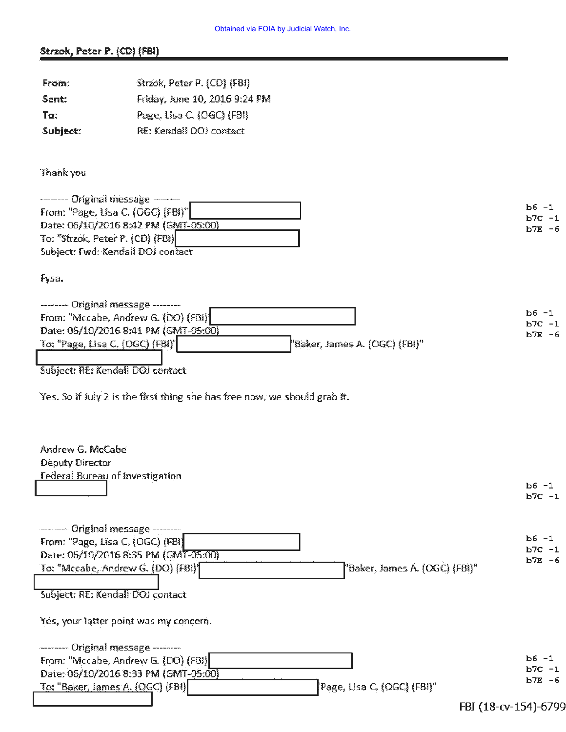## Strzok, Peter P. (CD) (FBI)

| From:                            | Strzok, Peter P. (CD) (FBI)                                                                             |                       |
|----------------------------------|---------------------------------------------------------------------------------------------------------|-----------------------|
| Sent:                            | Friday, June 10, 2016 9:24 PM                                                                           |                       |
| To:                              | Page, Lisa C. (OGC) (FBI)                                                                               |                       |
| Subject:                         | RE: Kendall DOJ contact                                                                                 |                       |
|                                  |                                                                                                         |                       |
| Thank you                        |                                                                                                         |                       |
|                                  | ------- Original message --------                                                                       |                       |
|                                  | From: "Page, Lisa C. (OGC) (FBI)"                                                                       | $b6 - 1$<br>$b7C - 1$ |
|                                  | Date: 06/10/2016 8:42 PM (GMT-05:00)                                                                    | $b7E - 6$             |
| To: "Strzok, Peter P. (CD) (FBI) | Subject: Fwd: Kendall DOJ contact                                                                       |                       |
|                                  |                                                                                                         |                       |
| Fysa.                            |                                                                                                         |                       |
|                                  | -------- Original message --------                                                                      | $b6 - 1$              |
|                                  | From: "Mccabe, Andrew G. (DO) (FBI)                                                                     | $b7C - 1$             |
| To: "Page, Lisa C. (OGC) (FBI)"  | Date: 06/10/2016 8:41 PM (GMT-05:00)<br>"Baker, James A. (OGC) (FBI)"                                   | $b7E - 6$             |
|                                  |                                                                                                         |                       |
|                                  | Subject: RE: Kendall DOJ contact                                                                        |                       |
|                                  |                                                                                                         |                       |
|                                  | Yes. So if July 2 is the first thing she has free now, we should grab it.                               |                       |
|                                  |                                                                                                         |                       |
|                                  |                                                                                                         |                       |
| Andrew G. McCabe                 |                                                                                                         |                       |
| Deputy Director                  | Federal Bureau of Investigation                                                                         |                       |
|                                  |                                                                                                         | $b6 - 1$              |
|                                  |                                                                                                         | $b7C - 1$             |
|                                  |                                                                                                         |                       |
| -------- Original message -      | From: "Page, Lisa C. (OGC) (FBI)                                                                        | $b6 - 1$              |
|                                  | Date: 06/10/2016 8:35 PM (GMT-05:00)                                                                    | $b7C - 1$             |
|                                  | To: "Mccabe, Andrew G. (DO) [FBI]]<br>"Baker, James A. (OGC) (FBI)"                                     | $b7E - 6$             |
|                                  |                                                                                                         |                       |
|                                  | Subject: RE: Kendall DOJ contact                                                                        |                       |
|                                  | Yes, your latter point was my concern.                                                                  |                       |
|                                  | -------- Original message --------                                                                      |                       |
|                                  | From: "Mccabe, Andrew G. (DO) [FBI]                                                                     | $b6 - 1$<br>$b7C - 1$ |
|                                  | Date: 06/10/2016 8:33 PM (GMT-05:90)<br>To: "Baker, James A. (OGC) (FBI)<br>'Page, Lisa C. (OGC) (FBI)" | $b7E - 6$             |
|                                  |                                                                                                         |                       |
|                                  |                                                                                                         | FBI (18-cv-154)-6799  |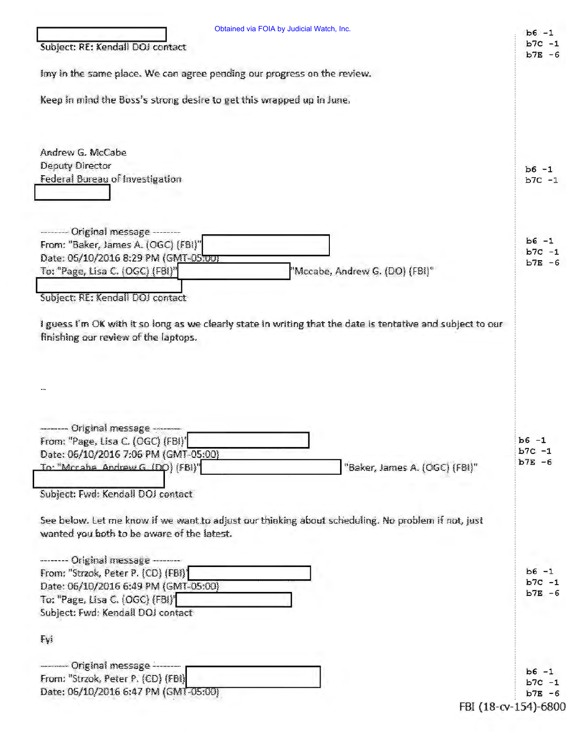| imy in the same place. We can agree pending our progress on the review.<br>Keep in mind the Boss's strong desire to get this wrapped up in June.<br>Andrew G. McCabe<br><b>Deputy Director</b><br>Federal Bureau of Investigation | $b7E - 6$                          |
|-----------------------------------------------------------------------------------------------------------------------------------------------------------------------------------------------------------------------------------|------------------------------------|
|                                                                                                                                                                                                                                   |                                    |
|                                                                                                                                                                                                                                   |                                    |
|                                                                                                                                                                                                                                   |                                    |
|                                                                                                                                                                                                                                   | $b6 -1$                            |
|                                                                                                                                                                                                                                   | $b7C -1$                           |
|                                                                                                                                                                                                                                   |                                    |
| -------- Original message --------<br>From: "Baker, James A. (OGC) (FBI)"                                                                                                                                                         | $b6 - 1$                           |
| Date: 06/10/2016 8:29 PM (GMT-05700)                                                                                                                                                                                              | $b7C - 1$<br>$b7E - 6$             |
| To: "Page, Lisa C. (OGC) (FBI)"<br>"Mccabe, Andrew G. (DO) (FBI)"                                                                                                                                                                 |                                    |
| Subject: RE: Kendall DOJ contact                                                                                                                                                                                                  |                                    |
|                                                                                                                                                                                                                                   |                                    |
| --- Original message<br>From: "Page, Lisa C. (OGC) (FBI)'<br>Date: 06/10/2016 7:06 PM (GMT-05:00)<br>To: "Mirraha Andrew G (DO) (FBI)"<br>"Baker, James A. (OGC) (FBI)"                                                           | $b6 - 1$<br>$b7C - 1$<br>$b7E - 6$ |
| Subject: Fwd: Kendall DOJ contact                                                                                                                                                                                                 |                                    |
| See below. Let me know if we want to adjust our thinking about scheduling. No problem if not, just                                                                                                                                |                                    |
| wanted you both to be aware of the latest.                                                                                                                                                                                        |                                    |
| -------- Original message --------                                                                                                                                                                                                |                                    |
| From: "Strzok, Peter P. (CD) (FBI)]                                                                                                                                                                                               | $b6 - 1$<br>$b7C -1$               |
| Date: 06/10/2016 6:49 PM (GMT-05:00)<br>To: "Page, Lisa C. (OGC) (FBI)'                                                                                                                                                           | $b7E - 6$                          |
| Subject: Fwd: Kendall DOJ contact                                                                                                                                                                                                 |                                    |
| Fyi                                                                                                                                                                                                                               |                                    |
| - Original message ------                                                                                                                                                                                                         | $b6 - 1$                           |
| From: "Strzok, Peter P. (CD) (FBI)                                                                                                                                                                                                | $b7C -1$                           |
| Date: 06/10/2016 6:47 PM (GMT-05:00)                                                                                                                                                                                              | $b7E - 6$                          |